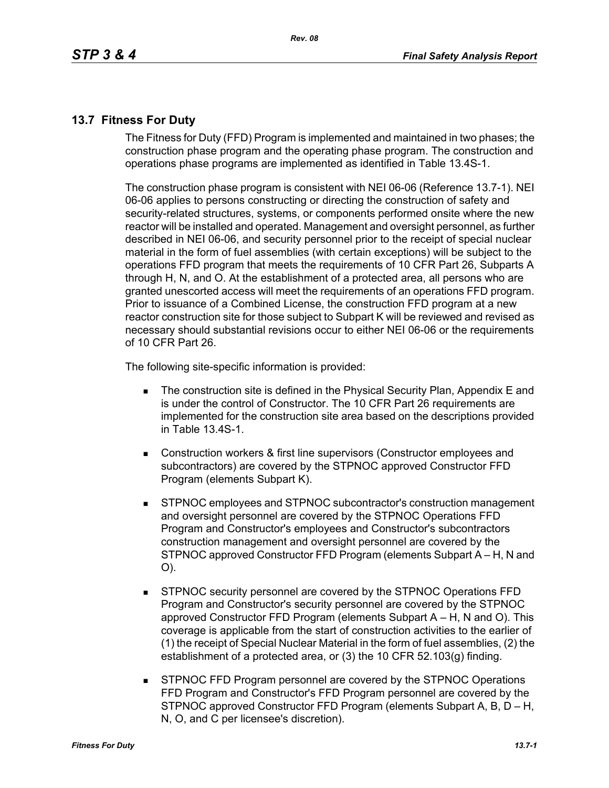## **13.7 Fitness For Duty**

The Fitness for Duty (FFD) Program is implemented and maintained in two phases; the construction phase program and the operating phase program. The construction and operations phase programs are implemented as identified in Table 13.4S-1.

The construction phase program is consistent with NEI 06-06 (Reference 13.7-1). NEI 06-06 applies to persons constructing or directing the construction of safety and security-related structures, systems, or components performed onsite where the new reactor will be installed and operated. Management and oversight personnel, as further described in NEI 06-06, and security personnel prior to the receipt of special nuclear material in the form of fuel assemblies (with certain exceptions) will be subject to the operations FFD program that meets the requirements of 10 CFR Part 26, Subparts A through H, N, and O. At the establishment of a protected area, all persons who are granted unescorted access will meet the requirements of an operations FFD program. Prior to issuance of a Combined License, the construction FFD program at a new reactor construction site for those subject to Subpart K will be reviewed and revised as necessary should substantial revisions occur to either NEI 06-06 or the requirements of 10 CFR Part 26.

The following site-specific information is provided:

- **The construction site is defined in the Physical Security Plan, Appendix E and** is under the control of Constructor. The 10 CFR Part 26 requirements are implemented for the construction site area based on the descriptions provided in Table 13.4S-1.
- Construction workers & first line supervisors (Constructor employees and subcontractors) are covered by the STPNOC approved Constructor FFD Program (elements Subpart K).
- STPNOC employees and STPNOC subcontractor's construction management and oversight personnel are covered by the STPNOC Operations FFD Program and Constructor's employees and Constructor's subcontractors construction management and oversight personnel are covered by the STPNOC approved Constructor FFD Program (elements Subpart A – H, N and O).
- STPNOC security personnel are covered by the STPNOC Operations FFD Program and Constructor's security personnel are covered by the STPNOC approved Constructor FFD Program (elements Subpart A – H, N and O). This coverage is applicable from the start of construction activities to the earlier of (1) the receipt of Special Nuclear Material in the form of fuel assemblies, (2) the establishment of a protected area, or (3) the 10 CFR 52.103(g) finding.
- STPNOC FFD Program personnel are covered by the STPNOC Operations FFD Program and Constructor's FFD Program personnel are covered by the STPNOC approved Constructor FFD Program (elements Subpart A, B, D – H, N, O, and C per licensee's discretion).